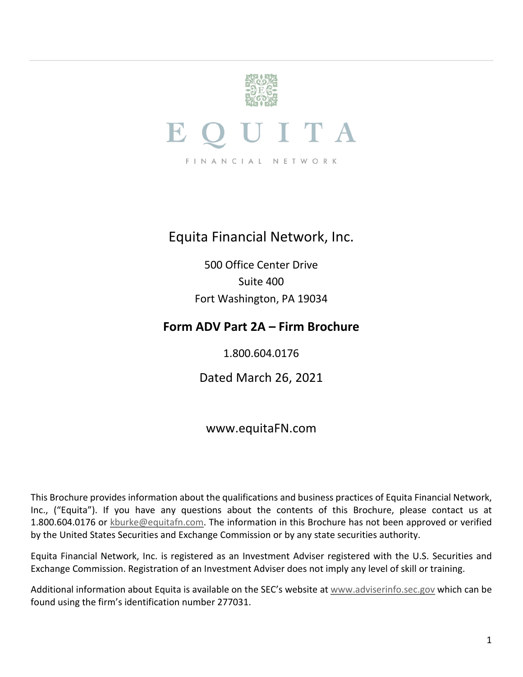<span id="page-0-0"></span>

### Equita Financial Network, Inc.

500 Office Center Drive Suite 400 Fort Washington, PA 19034

### **Form ADV Part 2A – Firm Brochure**

1.800.604.0176

Dated March 26, 2021

### www.equitaFN.com

This Brochure provides information about the qualifications and business practices of Equita Financial Network, Inc., ("Equita"). If you have any questions about the contents of this Brochure, please contact us at 1.800.604.0176 or [kburke@equitafn.com.](mailto:kburke@equitafn.com) The information in this Brochure has not been approved or verified by the United States Securities and Exchange Commission or by any state securities authority.

Equita Financial Network, Inc. is registered as an Investment Adviser registered with the U.S. Securities and Exchange Commission. Registration of an Investment Adviser does not imply any level of skill or training.

Additional information about Equita is available on the SEC's website at [www.adviserinfo.sec.gov](http://www.adviserinfo.sec.gov/) which can be found using the firm's identification number 277031.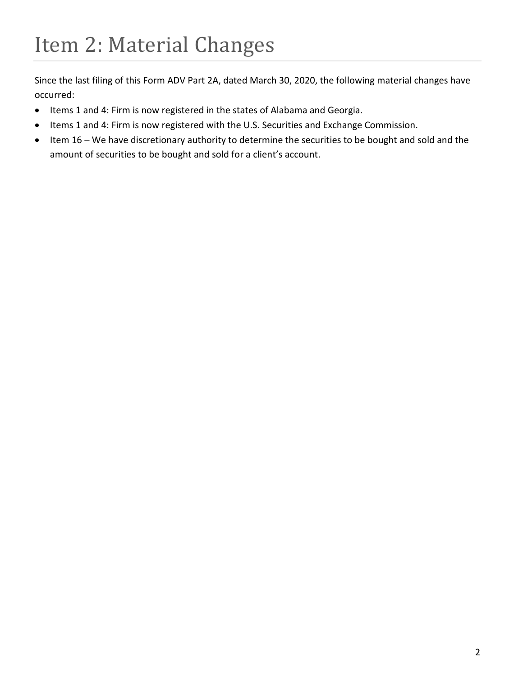<span id="page-1-0"></span>Since the last filing of this Form ADV Part 2A, dated March 30, 2020, the following material changes have occurred:

- Items 1 and 4: Firm is now registered in the states of Alabama and Georgia.
- Items 1 and 4: Firm is now registered with the U.S. Securities and Exchange Commission.
- Item 16 We have discretionary authority to determine the securities to be bought and sold and the amount of securities to be bought and sold for a client's account.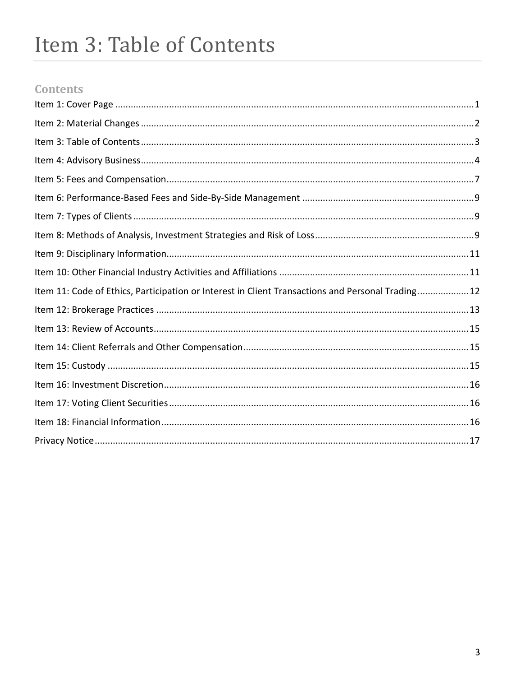# <span id="page-2-0"></span>Item 3: Table of Contents

### **Contents**

| Item 11: Code of Ethics, Participation or Interest in Client Transactions and Personal Trading12 |  |
|--------------------------------------------------------------------------------------------------|--|
|                                                                                                  |  |
|                                                                                                  |  |
|                                                                                                  |  |
|                                                                                                  |  |
|                                                                                                  |  |
|                                                                                                  |  |
|                                                                                                  |  |
|                                                                                                  |  |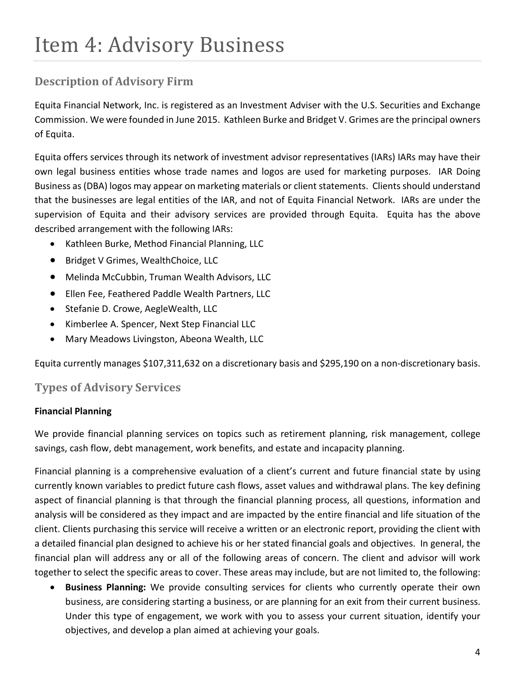# <span id="page-3-0"></span>Item 4: Advisory Business

### **Description of Advisory Firm**

Equita Financial Network, Inc. is registered as an Investment Adviser with the U.S. Securities and Exchange Commission. We were founded in June 2015. Kathleen Burke and Bridget V. Grimes are the principal owners of Equita.

Equita offers services through its network of investment advisor representatives (IARs) IARs may have their own legal business entities whose trade names and logos are used for marketing purposes. IAR Doing Business as (DBA) logos may appear on marketing materials or client statements. Clients should understand that the businesses are legal entities of the IAR, and not of Equita Financial Network. IARs are under the supervision of Equita and their advisory services are provided through Equita. Equita has the above described arrangement with the following IARs:

- Kathleen Burke, Method Financial Planning, LLC
- Bridget V Grimes, WealthChoice, LLC
- Melinda McCubbin, Truman Wealth Advisors, LLC
- Ellen Fee, Feathered Paddle Wealth Partners, LLC
- Stefanie D. Crowe, AegleWealth, LLC
- Kimberlee A. Spencer, Next Step Financial LLC
- Mary Meadows Livingston, Abeona Wealth, LLC

Equita currently manages \$107,311,632 on a discretionary basis and \$295,190 on a non-discretionary basis.

### **Types of Advisory Services**

#### **Financial Planning**

We provide financial planning services on topics such as retirement planning, risk management, college savings, cash flow, debt management, work benefits, and estate and incapacity planning.

Financial planning is a comprehensive evaluation of a client's current and future financial state by using currently known variables to predict future cash flows, asset values and withdrawal plans. The key defining aspect of financial planning is that through the financial planning process, all questions, information and analysis will be considered as they impact and are impacted by the entire financial and life situation of the client. Clients purchasing this service will receive a written or an electronic report, providing the client with a detailed financial plan designed to achieve his or her stated financial goals and objectives. In general, the financial plan will address any or all of the following areas of concern. The client and advisor will work together to select the specific areas to cover. These areas may include, but are not limited to, the following:

• **Business Planning:** We provide consulting services for clients who currently operate their own business, are considering starting a business, or are planning for an exit from their current business. Under this type of engagement, we work with you to assess your current situation, identify your objectives, and develop a plan aimed at achieving your goals.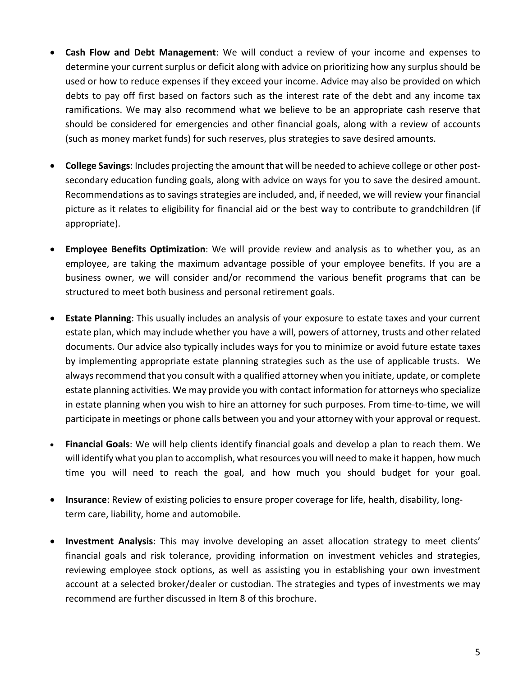- **Cash Flow and Debt Management**: We will conduct a review of your income and expenses to determine your current surplus or deficit along with advice on prioritizing how any surplus should be used or how to reduce expenses if they exceed your income. Advice may also be provided on which debts to pay off first based on factors such as the interest rate of the debt and any income tax ramifications. We may also recommend what we believe to be an appropriate cash reserve that should be considered for emergencies and other financial goals, along with a review of accounts (such as money market funds) for such reserves, plus strategies to save desired amounts.
- **College Savings**: Includes projecting the amount that will be needed to achieve college or other postsecondary education funding goals, along with advice on ways for you to save the desired amount. Recommendations as to savings strategies are included, and, if needed, we will review your financial picture as it relates to eligibility for financial aid or the best way to contribute to grandchildren (if appropriate).
- **Employee Benefits Optimization**: We will provide review and analysis as to whether you, as an employee, are taking the maximum advantage possible of your employee benefits. If you are a business owner, we will consider and/or recommend the various benefit programs that can be structured to meet both business and personal retirement goals.
- **Estate Planning**: This usually includes an analysis of your exposure to estate taxes and your current estate plan, which may include whether you have a will, powers of attorney, trusts and other related documents. Our advice also typically includes ways for you to minimize or avoid future estate taxes by implementing appropriate estate planning strategies such as the use of applicable trusts. We always recommend that you consult with a qualified attorney when you initiate, update, or complete estate planning activities. We may provide you with contact information for attorneys who specialize in estate planning when you wish to hire an attorney for such purposes. From time-to-time, we will participate in meetings or phone calls between you and your attorney with your approval or request.
- **Financial Goals**: We will help clients identify financial goals and develop a plan to reach them. We will identify what you plan to accomplish, what resources you will need to make it happen, how much time you will need to reach the goal, and how much you should budget for your goal.
- **Insurance**: Review of existing policies to ensure proper coverage for life, health, disability, longterm care, liability, home and automobile.
- **Investment Analysis**: This may involve developing an asset allocation strategy to meet clients' financial goals and risk tolerance, providing information on investment vehicles and strategies, reviewing employee stock options, as well as assisting you in establishing your own investment account at a selected broker/dealer or custodian. The strategies and types of investments we may recommend are further discussed in Item 8 of this brochure.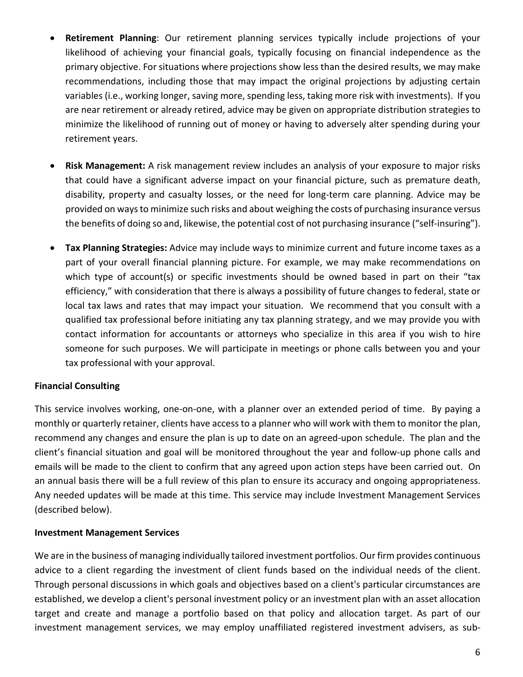- **Retirement Planning**: Our retirement planning services typically include projections of your likelihood of achieving your financial goals, typically focusing on financial independence as the primary objective. For situations where projections show less than the desired results, we may make recommendations, including those that may impact the original projections by adjusting certain variables (i.e., working longer, saving more, spending less, taking more risk with investments). If you are near retirement or already retired, advice may be given on appropriate distribution strategies to minimize the likelihood of running out of money or having to adversely alter spending during your retirement years.
- **Risk Management:** A risk management review includes an analysis of your exposure to major risks that could have a significant adverse impact on your financial picture, such as premature death, disability, property and casualty losses, or the need for long-term care planning. Advice may be provided on ways to minimize such risks and about weighing the costs of purchasing insurance versus the benefits of doing so and, likewise, the potential cost of not purchasing insurance ("self-insuring").
- **Tax Planning Strategies:** Advice may include ways to minimize current and future income taxes as a part of your overall financial planning picture. For example, we may make recommendations on which type of account(s) or specific investments should be owned based in part on their "tax efficiency," with consideration that there is always a possibility of future changes to federal, state or local tax laws and rates that may impact your situation. We recommend that you consult with a qualified tax professional before initiating any tax planning strategy, and we may provide you with contact information for accountants or attorneys who specialize in this area if you wish to hire someone for such purposes. We will participate in meetings or phone calls between you and your tax professional with your approval.

#### **Financial Consulting**

This service involves working, one-on-one, with a planner over an extended period of time. By paying a monthly or quarterly retainer, clients have access to a planner who will work with them to monitor the plan, recommend any changes and ensure the plan is up to date on an agreed-upon schedule. The plan and the client's financial situation and goal will be monitored throughout the year and follow-up phone calls and emails will be made to the client to confirm that any agreed upon action steps have been carried out. On an annual basis there will be a full review of this plan to ensure its accuracy and ongoing appropriateness. Any needed updates will be made at this time. This service may include Investment Management Services (described below).

#### **Investment Management Services**

We are in the business of managing individually tailored investment portfolios. Our firm provides continuous advice to a client regarding the investment of client funds based on the individual needs of the client. Through personal discussions in which goals and objectives based on a client's particular circumstances are established, we develop a client's personal investment policy or an investment plan with an asset allocation target and create and manage a portfolio based on that policy and allocation target. As part of our investment management services, we may employ unaffiliated registered investment advisers, as sub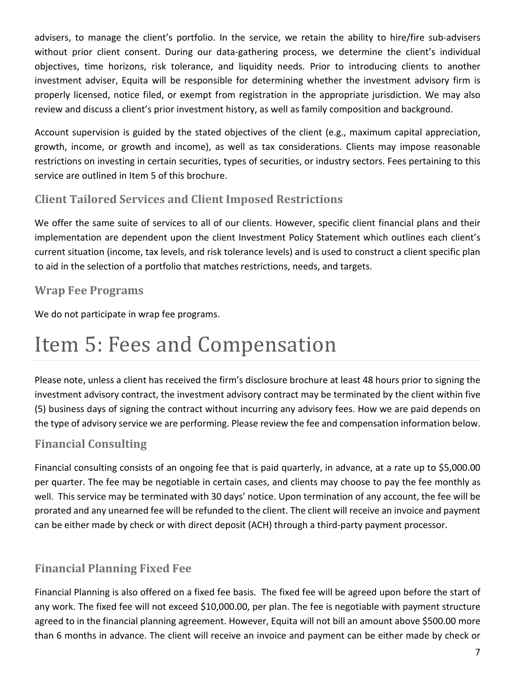advisers, to manage the client's portfolio. In the service, we retain the ability to hire/fire sub-advisers without prior client consent. During our data-gathering process, we determine the client's individual objectives, time horizons, risk tolerance, and liquidity needs. Prior to introducing clients to another investment adviser, Equita will be responsible for determining whether the investment advisory firm is properly licensed, notice filed, or exempt from registration in the appropriate jurisdiction. We may also review and discuss a client's prior investment history, as well as family composition and background.

Account supervision is guided by the stated objectives of the client (e.g., maximum capital appreciation, growth, income, or growth and income), as well as tax considerations. Clients may impose reasonable restrictions on investing in certain securities, types of securities, or industry sectors. Fees pertaining to this service are outlined in Item 5 of this brochure.

### **Client Tailored Services and Client Imposed Restrictions**

We offer the same suite of services to all of our clients. However, specific client financial plans and their implementation are dependent upon the client Investment Policy Statement which outlines each client's current situation (income, tax levels, and risk tolerance levels) and is used to construct a client specific plan to aid in the selection of a portfolio that matches restrictions, needs, and targets.

### **Wrap Fee Programs**

We do not participate in wrap fee programs.

## <span id="page-6-0"></span>Item 5: Fees and Compensation

Please note, unless a client has received the firm's disclosure brochure at least 48 hours prior to signing the investment advisory contract, the investment advisory contract may be terminated by the client within five (5) business days of signing the contract without incurring any advisory fees. How we are paid depends on the type of advisory service we are performing. Please review the fee and compensation information below.

### **Financial Consulting**

Financial consulting consists of an ongoing fee that is paid quarterly, in advance, at a rate up to \$5,000.00 per quarter. The fee may be negotiable in certain cases, and clients may choose to pay the fee monthly as well. This service may be terminated with 30 days' notice. Upon termination of any account, the fee will be prorated and any unearned fee will be refunded to the client. The client will receive an invoice and payment can be either made by check or with direct deposit (ACH) through a third-party payment processor.

### **Financial Planning Fixed Fee**

Financial Planning is also offered on a fixed fee basis. The fixed fee will be agreed upon before the start of any work. The fixed fee will not exceed \$10,000.00, per plan. The fee is negotiable with payment structure agreed to in the financial planning agreement. However, Equita will not bill an amount above \$500.00 more than 6 months in advance. The client will receive an invoice and payment can be either made by check or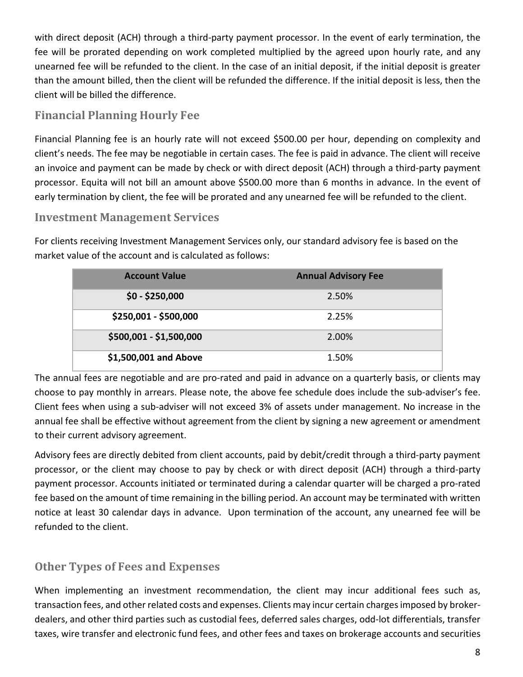with direct deposit (ACH) through a third-party payment processor. In the event of early termination, the fee will be prorated depending on work completed multiplied by the agreed upon hourly rate, and any unearned fee will be refunded to the client. In the case of an initial deposit, if the initial deposit is greater than the amount billed, then the client will be refunded the difference. If the initial deposit is less, then the client will be billed the difference.

### **Financial Planning Hourly Fee**

Financial Planning fee is an hourly rate will not exceed \$500.00 per hour, depending on complexity and client's needs. The fee may be negotiable in certain cases. The fee is paid in advance. The client will receive an invoice and payment can be made by check or with direct deposit (ACH) through a third-party payment processor. Equita will not bill an amount above \$500.00 more than 6 months in advance. In the event of early termination by client, the fee will be prorated and any unearned fee will be refunded to the client.

#### **Investment Management Services**

For clients receiving Investment Management Services only, our standard advisory fee is based on the market value of the account and is calculated as follows:

| <b>Account Value</b>    | <b>Annual Advisory Fee</b> |
|-------------------------|----------------------------|
| $$0 - $250,000$         | 2.50%                      |
| \$250,001 - \$500,000   | 2.25%                      |
| \$500,001 - \$1,500,000 | 2.00%                      |
| \$1,500,001 and Above   | 1.50%                      |

The annual fees are negotiable and are pro-rated and paid in advance on a quarterly basis, or clients may choose to pay monthly in arrears. Please note, the above fee schedule does include the sub-adviser's fee. Client fees when using a sub-adviser will not exceed 3% of assets under management. No increase in the annual fee shall be effective without agreement from the client by signing a new agreement or amendment to their current advisory agreement.

Advisory fees are directly debited from client accounts, paid by debit/credit through a third-party payment processor, or the client may choose to pay by check or with direct deposit (ACH) through a third-party payment processor. Accounts initiated or terminated during a calendar quarter will be charged a pro-rated fee based on the amount of time remaining in the billing period. An account may be terminated with written notice at least 30 calendar days in advance. Upon termination of the account, any unearned fee will be refunded to the client.

### **Other Types of Fees and Expenses**

When implementing an investment recommendation, the client may incur additional fees such as, transaction fees, and other related costs and expenses. Clients may incur certain charges imposed by brokerdealers, and other third parties such as custodial fees, deferred sales charges, odd-lot differentials, transfer taxes, wire transfer and electronic fund fees, and other fees and taxes on brokerage accounts and securities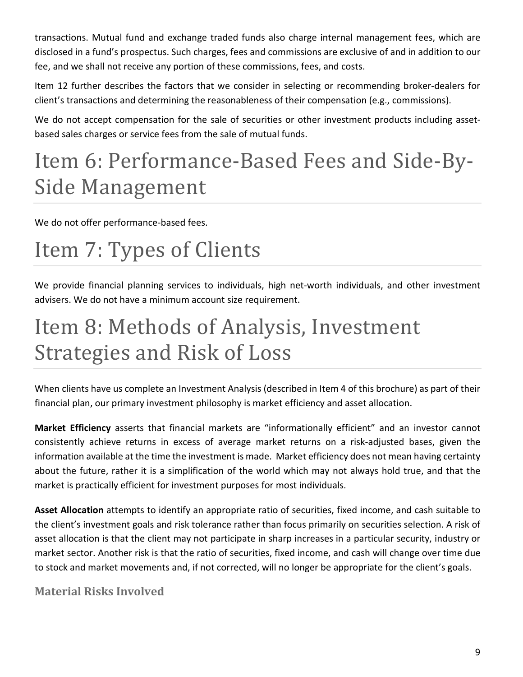transactions. Mutual fund and exchange traded funds also charge internal management fees, which are disclosed in a fund's prospectus. Such charges, fees and commissions are exclusive of and in addition to our fee, and we shall not receive any portion of these commissions, fees, and costs.

Item 12 further describes the factors that we consider in selecting or recommending broker-dealers for client's transactions and determining the reasonableness of their compensation (e.g., commissions).

We do not accept compensation for the sale of securities or other investment products including assetbased sales charges or service fees from the sale of mutual funds.

## <span id="page-8-0"></span>Item 6: Performance-Based Fees and Side-By-Side Management

We do not offer performance-based fees.

# <span id="page-8-1"></span>Item 7: Types of Clients

We provide financial planning services to individuals, high net-worth individuals, and other investment advisers. We do not have a minimum account size requirement.

# <span id="page-8-2"></span>Item 8: Methods of Analysis, Investment Strategies and Risk of Loss

When clients have us complete an Investment Analysis (described in Item 4 of this brochure) as part of their financial plan, our primary investment philosophy is market efficiency and asset allocation.

**Market Efficiency** asserts that financial markets are "informationally efficient" and an investor cannot consistently achieve returns in excess of average market returns on a risk-adjusted bases, given the information available at the time the investment is made. Market efficiency does not mean having certainty about the future, rather it is a simplification of the world which may not always hold true, and that the market is practically efficient for investment purposes for most individuals.

**Asset Allocation** attempts to identify an appropriate ratio of securities, fixed income, and cash suitable to the client's investment goals and risk tolerance rather than focus primarily on securities selection. A risk of asset allocation is that the client may not participate in sharp increases in a particular security, industry or market sector. Another risk is that the ratio of securities, fixed income, and cash will change over time due to stock and market movements and, if not corrected, will no longer be appropriate for the client's goals.

### **Material Risks Involved**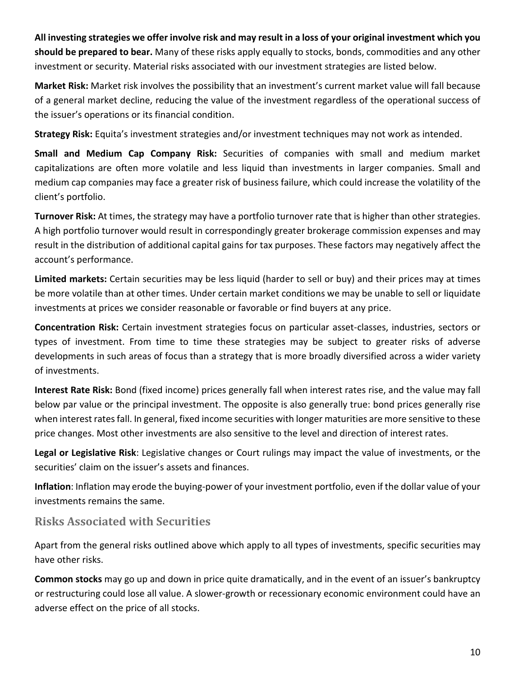**All investing strategies we offer involve risk and may result in a loss of your original investment which you should be prepared to bear.** Many of these risks apply equally to stocks, bonds, commodities and any other investment or security. Material risks associated with our investment strategies are listed below.

**Market Risk:** Market risk involves the possibility that an investment's current market value will fall because of a general market decline, reducing the value of the investment regardless of the operational success of the issuer's operations or its financial condition.

**Strategy Risk:** Equita's investment strategies and/or investment techniques may not work as intended.

**Small and Medium Cap Company Risk:** Securities of companies with small and medium market capitalizations are often more volatile and less liquid than investments in larger companies. Small and medium cap companies may face a greater risk of business failure, which could increase the volatility of the client's portfolio.

**Turnover Risk:** At times, the strategy may have a portfolio turnover rate that is higher than other strategies. A high portfolio turnover would result in correspondingly greater brokerage commission expenses and may result in the distribution of additional capital gains for tax purposes. These factors may negatively affect the account's performance.

**Limited markets:** Certain securities may be less liquid (harder to sell or buy) and their prices may at times be more volatile than at other times. Under certain market conditions we may be unable to sell or liquidate investments at prices we consider reasonable or favorable or find buyers at any price.

**Concentration Risk:** Certain investment strategies focus on particular asset-classes, industries, sectors or types of investment. From time to time these strategies may be subject to greater risks of adverse developments in such areas of focus than a strategy that is more broadly diversified across a wider variety of investments.

**Interest Rate Risk:** Bond (fixed income) prices generally fall when interest rates rise, and the value may fall below par value or the principal investment. The opposite is also generally true: bond prices generally rise when interest rates fall. In general, fixed income securities with longer maturities are more sensitive to these price changes. Most other investments are also sensitive to the level and direction of interest rates.

**Legal or Legislative Risk**: Legislative changes or Court rulings may impact the value of investments, or the securities' claim on the issuer's assets and finances.

**Inflation**: Inflation may erode the buying-power of your investment portfolio, even if the dollar value of your investments remains the same.

#### **Risks Associated with Securities**

Apart from the general risks outlined above which apply to all types of investments, specific securities may have other risks.

**Common stocks** may go up and down in price quite dramatically, and in the event of an issuer's bankruptcy or restructuring could lose all value. A slower-growth or recessionary economic environment could have an adverse effect on the price of all stocks.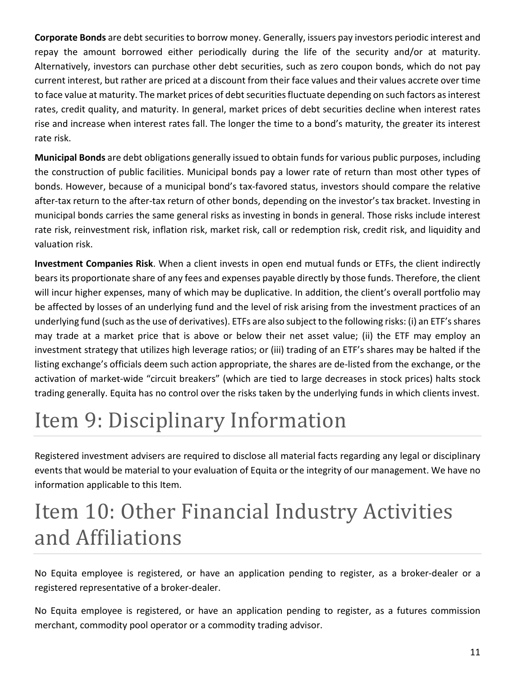**Corporate Bonds** are debt securities to borrow money. Generally, issuers pay investors periodic interest and repay the amount borrowed either periodically during the life of the security and/or at maturity. Alternatively, investors can purchase other debt securities, such as zero coupon bonds, which do not pay current interest, but rather are priced at a discount from their face values and their values accrete over time to face value at maturity. The market prices of debt securities fluctuate depending on such factors as interest rates, credit quality, and maturity. In general, market prices of debt securities decline when interest rates rise and increase when interest rates fall. The longer the time to a bond's maturity, the greater its interest rate risk.

**Municipal Bonds** are debt obligations generally issued to obtain funds for various public purposes, including the construction of public facilities. Municipal bonds pay a lower rate of return than most other types of bonds. However, because of a municipal bond's tax-favored status, investors should compare the relative after-tax return to the after-tax return of other bonds, depending on the investor's tax bracket. Investing in municipal bonds carries the same general risks as investing in bonds in general. Those risks include interest rate risk, reinvestment risk, inflation risk, market risk, call or redemption risk, credit risk, and liquidity and valuation risk.

**Investment Companies Risk**. When a client invests in open end mutual funds or ETFs, the client indirectly bears its proportionate share of any fees and expenses payable directly by those funds. Therefore, the client will incur higher expenses, many of which may be duplicative. In addition, the client's overall portfolio may be affected by losses of an underlying fund and the level of risk arising from the investment practices of an underlying fund (such as the use of derivatives). ETFs are also subject to the following risks: (i) an ETF's shares may trade at a market price that is above or below their net asset value; (ii) the ETF may employ an investment strategy that utilizes high leverage ratios; or (iii) trading of an ETF's shares may be halted if the listing exchange's officials deem such action appropriate, the shares are de-listed from the exchange, or the activation of market-wide "circuit breakers" (which are tied to large decreases in stock prices) halts stock trading generally. Equita has no control over the risks taken by the underlying funds in which clients invest.

# <span id="page-10-0"></span>Item 9: Disciplinary Information

Registered investment advisers are required to disclose all material facts regarding any legal or disciplinary events that would be material to your evaluation of Equita or the integrity of our management. We have no information applicable to this Item.

# <span id="page-10-1"></span>Item 10: Other Financial Industry Activities and Affiliations

No Equita employee is registered, or have an application pending to register, as a broker-dealer or a registered representative of a broker-dealer.

No Equita employee is registered, or have an application pending to register, as a futures commission merchant, commodity pool operator or a commodity trading advisor.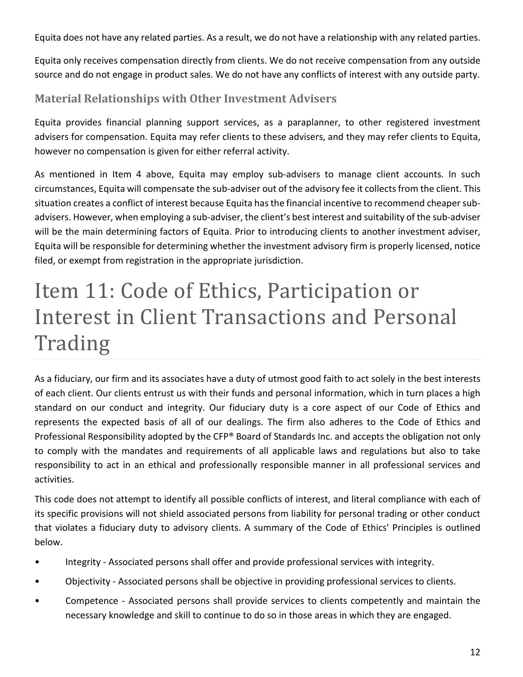Equita does not have any related parties. As a result, we do not have a relationship with any related parties.

Equita only receives compensation directly from clients. We do not receive compensation from any outside source and do not engage in product sales. We do not have any conflicts of interest with any outside party.

### **Material Relationships with Other Investment Advisers**

Equita provides financial planning support services, as a paraplanner, to other registered investment advisers for compensation. Equita may refer clients to these advisers, and they may refer clients to Equita, however no compensation is given for either referral activity.

As mentioned in Item 4 above, Equita may employ sub-advisers to manage client accounts. In such circumstances, Equita will compensate the sub-adviser out of the advisory fee it collects from the client. This situation creates a conflict of interest because Equita has the financial incentive to recommend cheaper subadvisers. However, when employing a sub-adviser, the client's best interest and suitability of the sub-adviser will be the main determining factors of Equita. Prior to introducing clients to another investment adviser, Equita will be responsible for determining whether the investment advisory firm is properly licensed, notice filed, or exempt from registration in the appropriate jurisdiction.

# <span id="page-11-0"></span>Item 11: Code of Ethics, Participation or Interest in Client Transactions and Personal Trading

As a fiduciary, our firm and its associates have a duty of utmost good faith to act solely in the best interests of each client. Our clients entrust us with their funds and personal information, which in turn places a high standard on our conduct and integrity. Our fiduciary duty is a core aspect of our Code of Ethics and represents the expected basis of all of our dealings. The firm also adheres to the Code of Ethics and Professional Responsibility adopted by the CFP® Board of Standards Inc. and accepts the obligation not only to comply with the mandates and requirements of all applicable laws and regulations but also to take responsibility to act in an ethical and professionally responsible manner in all professional services and activities.

This code does not attempt to identify all possible conflicts of interest, and literal compliance with each of its specific provisions will not shield associated persons from liability for personal trading or other conduct that violates a fiduciary duty to advisory clients. A summary of the Code of Ethics' Principles is outlined below.

- Integrity Associated persons shall offer and provide professional services with integrity.
- Objectivity Associated persons shall be objective in providing professional services to clients.
- Competence Associated persons shall provide services to clients competently and maintain the necessary knowledge and skill to continue to do so in those areas in which they are engaged.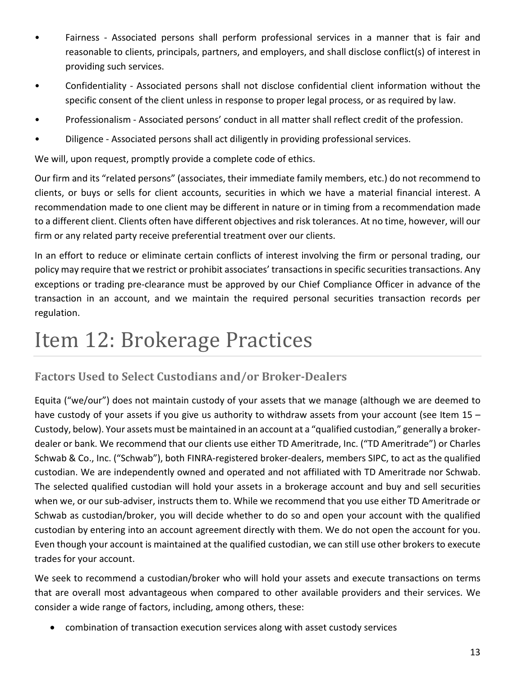- Fairness Associated persons shall perform professional services in a manner that is fair and reasonable to clients, principals, partners, and employers, and shall disclose conflict(s) of interest in providing such services.
- Confidentiality Associated persons shall not disclose confidential client information without the specific consent of the client unless in response to proper legal process, or as required by law.
- Professionalism Associated persons' conduct in all matter shall reflect credit of the profession.
- Diligence Associated persons shall act diligently in providing professional services.

We will, upon request, promptly provide a complete code of ethics.

Our firm and its "related persons" (associates, their immediate family members, etc.) do not recommend to clients, or buys or sells for client accounts, securities in which we have a material financial interest. A recommendation made to one client may be different in nature or in timing from a recommendation made to a different client. Clients often have different objectives and risk tolerances. At no time, however, will our firm or any related party receive preferential treatment over our clients.

In an effort to reduce or eliminate certain conflicts of interest involving the firm or personal trading, our policy may require that we restrict or prohibit associates' transactions in specific securities transactions. Any exceptions or trading pre-clearance must be approved by our Chief Compliance Officer in advance of the transaction in an account, and we maintain the required personal securities transaction records per regulation.

## <span id="page-12-0"></span>Item 12: Brokerage Practices

### **Factors Used to Select Custodians and/or Broker-Dealers**

Equita ("we/our") does not maintain custody of your assets that we manage (although we are deemed to have custody of your assets if you give us authority to withdraw assets from your account (see Item 15 – Custody, below). Your assets must be maintained in an account at a "qualified custodian," generally a brokerdealer or bank. We recommend that our clients use either TD Ameritrade, Inc. ("TD Ameritrade") or Charles Schwab & Co., Inc. ("Schwab"), both FINRA-registered broker-dealers, members SIPC, to act as the qualified custodian. We are independently owned and operated and not affiliated with TD Ameritrade nor Schwab. The selected qualified custodian will hold your assets in a brokerage account and buy and sell securities when we, or our sub-adviser, instructs them to. While we recommend that you use either TD Ameritrade or Schwab as custodian/broker, you will decide whether to do so and open your account with the qualified custodian by entering into an account agreement directly with them. We do not open the account for you. Even though your account is maintained at the qualified custodian, we can still use other brokers to execute trades for your account.

We seek to recommend a custodian/broker who will hold your assets and execute transactions on terms that are overall most advantageous when compared to other available providers and their services. We consider a wide range of factors, including, among others, these:

• combination of transaction execution services along with asset custody services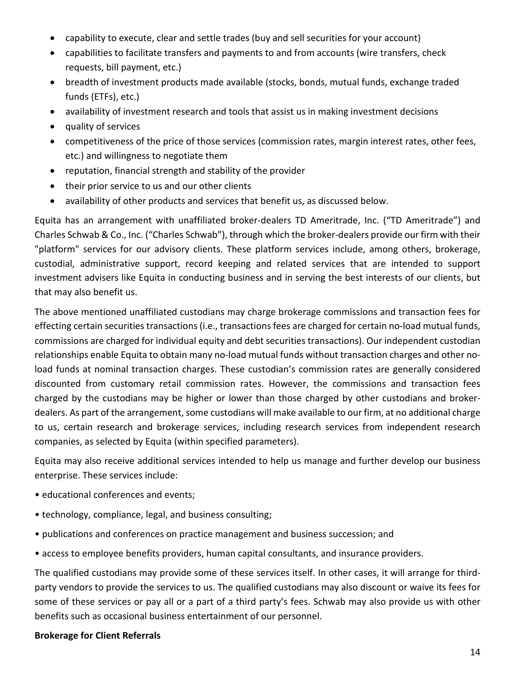- capability to execute, clear and settle trades (buy and sell securities for your account)
- capabilities to facilitate transfers and payments to and from accounts (wire transfers, check requests, bill payment, etc.)
- breadth of investment products made available (stocks, bonds, mutual funds, exchange traded funds (ETFs), etc.)
- availability of investment research and tools that assist us in making investment decisions
- quality of services
- competitiveness of the price of those services (commission rates, margin interest rates, other fees, etc.) and willingness to negotiate them
- reputation, financial strength and stability of the provider
- their prior service to us and our other clients
- availability of other products and services that benefit us, as discussed below.

Equita has an arrangement with unaffiliated broker-dealers TD Ameritrade, Inc. ("TD Ameritrade") and Charles Schwab & Co., Inc. ("Charles Schwab"), through which the broker-dealers provide our firm with their "platform" services for our advisory clients. These platform services include, among others, brokerage, custodial, administrative support, record keeping and related services that are intended to support investment advisers like Equita in conducting business and in serving the best interests of our clients, but that may also benefit us.

The above mentioned unaffiliated custodians may charge brokerage commissions and transaction fees for effecting certain securities transactions (i.e., transactions fees are charged for certain no-load mutual funds, commissions are charged for individual equity and debt securities transactions). Our independent custodian relationships enable Equita to obtain many no-load mutual funds without transaction charges and other noload funds at nominal transaction charges. These custodian's commission rates are generally considered discounted from customary retail commission rates. However, the commissions and transaction fees charged by the custodians may be higher or lower than those charged by other custodians and brokerdealers. As part of the arrangement, some custodians will make available to our firm, at no additional charge to us, certain research and brokerage services, including research services from independent research companies, as selected by Equita (within specified parameters).

Equita may also receive additional services intended to help us manage and further develop our business enterprise. These services include:

- educational conferences and events;
- technology, compliance, legal, and business consulting;
- publications and conferences on practice management and business succession; and
- access to employee benefits providers, human capital consultants, and insurance providers.

The qualified custodians may provide some of these services itself. In other cases, it will arrange for thirdparty vendors to provide the services to us. The qualified custodians may also discount or waive its fees for some of these services or pay all or a part of a third party's fees. Schwab may also provide us with other benefits such as occasional business entertainment of our personnel.

#### **Brokerage for Client Referrals**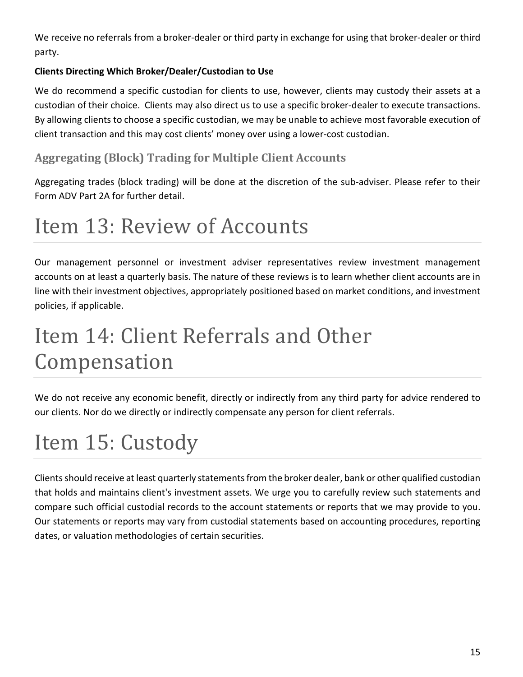We receive no referrals from a broker-dealer or third party in exchange for using that broker-dealer or third party.

#### **Clients Directing Which Broker/Dealer/Custodian to Use**

We do recommend a specific custodian for clients to use, however, clients may custody their assets at a custodian of their choice. Clients may also direct us to use a specific broker-dealer to execute transactions. By allowing clients to choose a specific custodian, we may be unable to achieve most favorable execution of client transaction and this may cost clients' money over using a lower-cost custodian.

### **Aggregating (Block) Trading for Multiple Client Accounts**

Aggregating trades (block trading) will be done at the discretion of the sub-adviser. Please refer to their Form ADV Part 2A for further detail.

## <span id="page-14-0"></span>Item 13: Review of Accounts

Our management personnel or investment adviser representatives review investment management accounts on at least a quarterly basis. The nature of these reviews is to learn whether client accounts are in line with their investment objectives, appropriately positioned based on market conditions, and investment policies, if applicable.

# <span id="page-14-1"></span>Item 14: Client Referrals and Other Compensation

We do not receive any economic benefit, directly or indirectly from any third party for advice rendered to our clients. Nor do we directly or indirectly compensate any person for client referrals.

# <span id="page-14-2"></span>Item 15: Custody

Clients should receive at least quarterly statements from the broker dealer, bank or other qualified custodian that holds and maintains client's investment assets. We urge you to carefully review such statements and compare such official custodial records to the account statements or reports that we may provide to you. Our statements or reports may vary from custodial statements based on accounting procedures, reporting dates, or valuation methodologies of certain securities.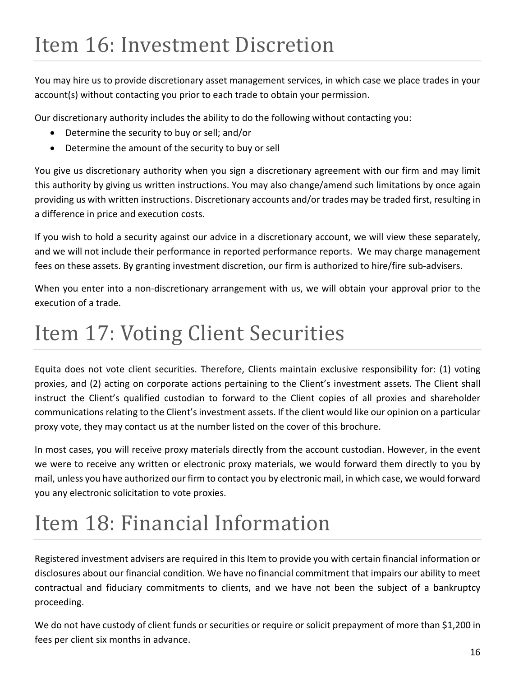<span id="page-15-0"></span>You may hire us to provide discretionary asset management services, in which case we place trades in your account(s) without contacting you prior to each trade to obtain your permission.

Our discretionary authority includes the ability to do the following without contacting you:

- Determine the security to buy or sell; and/or
- Determine the amount of the security to buy or sell

You give us discretionary authority when you sign a discretionary agreement with our firm and may limit this authority by giving us written instructions. You may also change/amend such limitations by once again providing us with written instructions. Discretionary accounts and/or trades may be traded first, resulting in a difference in price and execution costs.

If you wish to hold a security against our advice in a discretionary account, we will view these separately, and we will not include their performance in reported performance reports. We may charge management fees on these assets. By granting investment discretion, our firm is authorized to hire/fire sub-advisers.

When you enter into a non-discretionary arrangement with us, we will obtain your approval prior to the execution of a trade.

# <span id="page-15-1"></span>Item 17: Voting Client Securities

Equita does not vote client securities. Therefore, Clients maintain exclusive responsibility for: (1) voting proxies, and (2) acting on corporate actions pertaining to the Client's investment assets. The Client shall instruct the Client's qualified custodian to forward to the Client copies of all proxies and shareholder communications relating to the Client's investment assets. If the client would like our opinion on a particular proxy vote, they may contact us at the number listed on the cover of this brochure.

In most cases, you will receive proxy materials directly from the account custodian. However, in the event we were to receive any written or electronic proxy materials, we would forward them directly to you by mail, unless you have authorized our firm to contact you by electronic mail, in which case, we would forward you any electronic solicitation to vote proxies.

# <span id="page-15-2"></span>Item 18: Financial Information

Registered investment advisers are required in this Item to provide you with certain financial information or disclosures about our financial condition. We have no financial commitment that impairs our ability to meet contractual and fiduciary commitments to clients, and we have not been the subject of a bankruptcy proceeding.

We do not have custody of client funds or securities or require or solicit prepayment of more than \$1,200 in fees per client six months in advance.